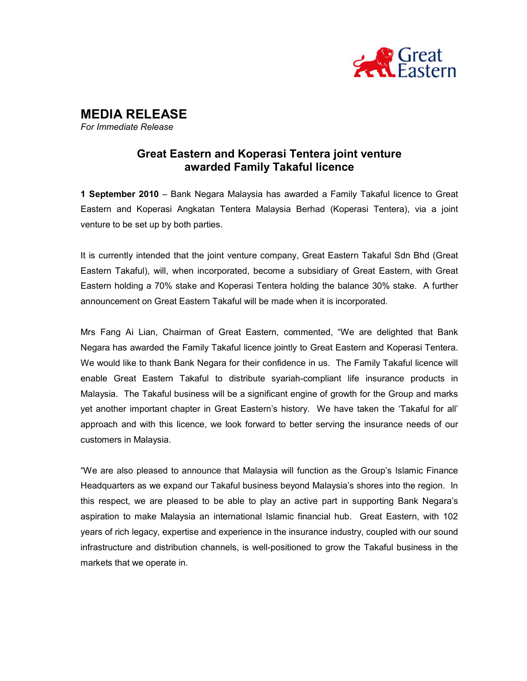

MEDIA RELEASE For Immediate Release

## Great Eastern and Koperasi Tentera joint venture awarded Family Takaful licence

1 September 2010 – Bank Negara Malaysia has awarded a Family Takaful licence to Great Eastern and Koperasi Angkatan Tentera Malaysia Berhad (Koperasi Tentera), via a joint venture to be set up by both parties.

It is currently intended that the joint venture company, Great Eastern Takaful Sdn Bhd (Great Eastern Takaful), will, when incorporated, become a subsidiary of Great Eastern, with Great Eastern holding a 70% stake and Koperasi Tentera holding the balance 30% stake. A further announcement on Great Eastern Takaful will be made when it is incorporated.

Mrs Fang Ai Lian, Chairman of Great Eastern, commented, "We are delighted that Bank Negara has awarded the Family Takaful licence jointly to Great Eastern and Koperasi Tentera. We would like to thank Bank Negara for their confidence in us. The Family Takaful licence will enable Great Eastern Takaful to distribute syariah-compliant life insurance products in Malaysia. The Takaful business will be a significant engine of growth for the Group and marks yet another important chapter in Great Eastern's history. We have taken the 'Takaful for all' approach and with this licence, we look forward to better serving the insurance needs of our customers in Malaysia.

"We are also pleased to announce that Malaysia will function as the Group's Islamic Finance Headquarters as we expand our Takaful business beyond Malaysia's shores into the region. In this respect, we are pleased to be able to play an active part in supporting Bank Negara's aspiration to make Malaysia an international Islamic financial hub. Great Eastern, with 102 years of rich legacy, expertise and experience in the insurance industry, coupled with our sound infrastructure and distribution channels, is well-positioned to grow the Takaful business in the markets that we operate in.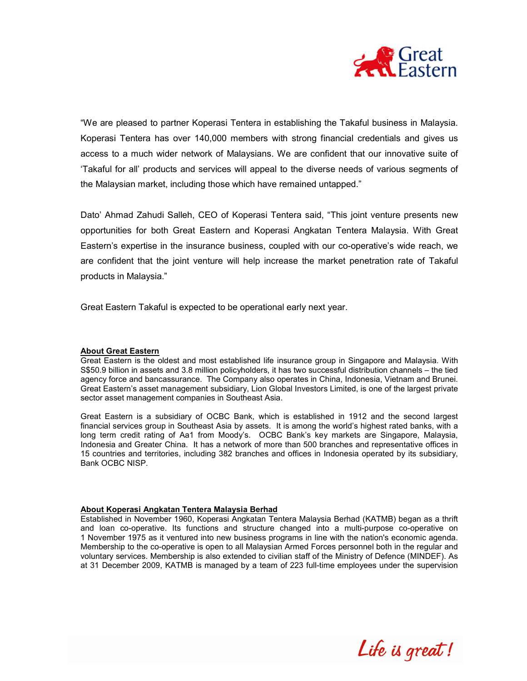

"We are pleased to partner Koperasi Tentera in establishing the Takaful business in Malaysia. Koperasi Tentera has over 140,000 members with strong financial credentials and gives us access to a much wider network of Malaysians. We are confident that our innovative suite of 'Takaful for all' products and services will appeal to the diverse needs of various segments of the Malaysian market, including those which have remained untapped."

Dato' Ahmad Zahudi Salleh, CEO of Koperasi Tentera said, "This joint venture presents new opportunities for both Great Eastern and Koperasi Angkatan Tentera Malaysia. With Great Eastern's expertise in the insurance business, coupled with our co-operative's wide reach, we are confident that the joint venture will help increase the market penetration rate of Takaful products in Malaysia."

Great Eastern Takaful is expected to be operational early next year.

## About Great Eastern

Great Eastern is the oldest and most established life insurance group in Singapore and Malaysia. With S\$50.9 billion in assets and 3.8 million policyholders, it has two successful distribution channels – the tied agency force and bancassurance. The Company also operates in China, Indonesia, Vietnam and Brunei. Great Eastern's asset management subsidiary, Lion Global Investors Limited, is one of the largest private sector asset management companies in Southeast Asia.

Great Eastern is a subsidiary of OCBC Bank, which is established in 1912 and the second largest financial services group in Southeast Asia by assets. It is among the world's highest rated banks, with a long term credit rating of Aa1 from Moody's. OCBC Bank's key markets are Singapore, Malaysia, Indonesia and Greater China. It has a network of more than 500 branches and representative offices in 15 countries and territories, including 382 branches and offices in Indonesia operated by its subsidiary, Bank OCBC NISP.

## About Koperasi Angkatan Tentera Malaysia Berhad

Established in November 1960, Koperasi Angkatan Tentera Malaysia Berhad (KATMB) began as a thrift and loan co-operative. Its functions and structure changed into a multi-purpose co-operative on 1 November 1975 as it ventured into new business programs in line with the nation's economic agenda. Membership to the co-operative is open to all Malaysian Armed Forces personnel both in the regular and voluntary services. Membership is also extended to civilian staff of the Ministry of Defence (MINDEF). As at 31 December 2009, KATMB is managed by a team of 223 full-time employees under the supervision

Life is great!